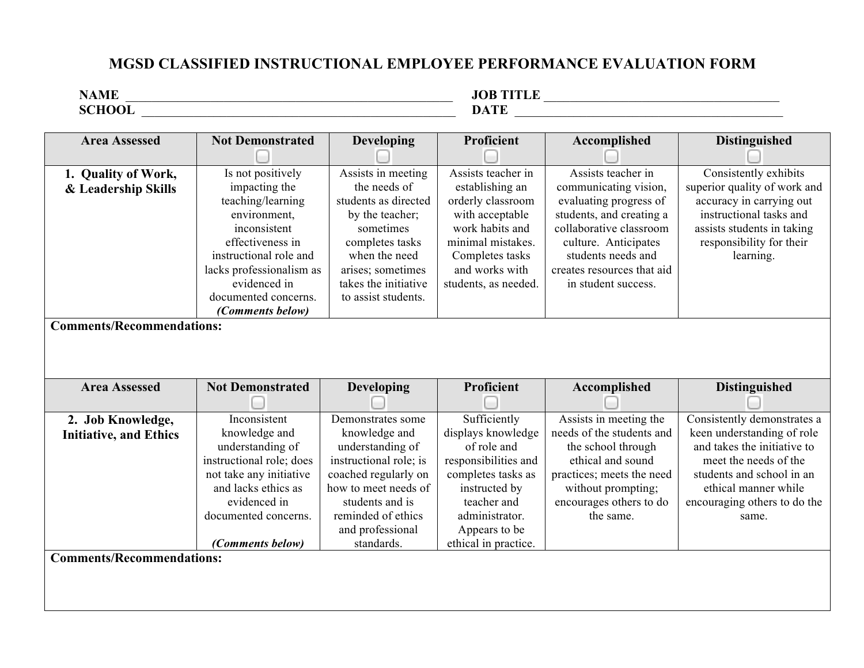## **MGSD CLASSIFIED INSTRUCTIONAL EMPLOYEE PERFORMANCE EVALUATION FORM**

| ---- | . mm |
|------|------|

| <b>Area Assessed</b>             | <b>Not Demonstrated</b>  | <b>Developing</b>      | Proficient           | Accomplished               | <b>Distinguished</b>         |
|----------------------------------|--------------------------|------------------------|----------------------|----------------------------|------------------------------|
| 1. Quality of Work,              | Is not positively        | Assists in meeting     | Assists teacher in   | Assists teacher in         | Consistently exhibits        |
| & Leadership Skills              | impacting the            | the needs of           | establishing an      | communicating vision,      | superior quality of work and |
|                                  | teaching/learning        | students as directed   | orderly classroom    | evaluating progress of     | accuracy in carrying out     |
|                                  | environment,             | by the teacher;        | with acceptable      | students, and creating a   | instructional tasks and      |
|                                  | inconsistent             | sometimes              | work habits and      | collaborative classroom    | assists students in taking   |
|                                  | effectiveness in         | completes tasks        | minimal mistakes.    | culture. Anticipates       | responsibility for their     |
|                                  | instructional role and   | when the need          | Completes tasks      | students needs and         | learning.                    |
|                                  | lacks professionalism as | arises; sometimes      | and works with       | creates resources that aid |                              |
|                                  | evidenced in             | takes the initiative   | students, as needed. | in student success.        |                              |
|                                  | documented concerns.     | to assist students.    |                      |                            |                              |
|                                  | (Comments below)         |                        |                      |                            |                              |
| <b>Comments/Recommendations:</b> |                          |                        |                      |                            |                              |
|                                  |                          |                        |                      |                            |                              |
|                                  |                          |                        |                      |                            |                              |
|                                  |                          |                        |                      |                            |                              |
|                                  |                          |                        |                      |                            |                              |
| <b>Area Assessed</b>             | <b>Not Demonstrated</b>  |                        | Proficient           |                            |                              |
|                                  |                          | <b>Developing</b>      |                      | Accomplished               | <b>Distinguished</b>         |
| 2. Job Knowledge,                | Inconsistent             | Demonstrates some      | Sufficiently         | Assists in meeting the     | Consistently demonstrates a  |
| <b>Initiative, and Ethics</b>    | knowledge and            | knowledge and          | displays knowledge   | needs of the students and  | keen understanding of role   |
|                                  | understanding of         | understanding of       | of role and          | the school through         | and takes the initiative to  |
|                                  | instructional role; does | instructional role; is | responsibilities and | ethical and sound          | meet the needs of the        |
|                                  | not take any initiative  | coached regularly on   | completes tasks as   | practices; meets the need  | students and school in an    |
|                                  | and lacks ethics as      | how to meet needs of   | instructed by        | without prompting;         | ethical manner while         |
|                                  | evidenced in             | students and is        | teacher and          | encourages others to do    | encouraging others to do the |
|                                  | documented concerns.     | reminded of ethics     | administrator.       | the same.                  | same.                        |
|                                  |                          | and professional       | Appears to be        |                            |                              |
|                                  | <i>(Comments below)</i>  | standards.             | ethical in practice. |                            |                              |
| <b>Comments/Recommendations:</b> |                          |                        |                      |                            |                              |
|                                  |                          |                        |                      |                            |                              |
|                                  |                          |                        |                      |                            |                              |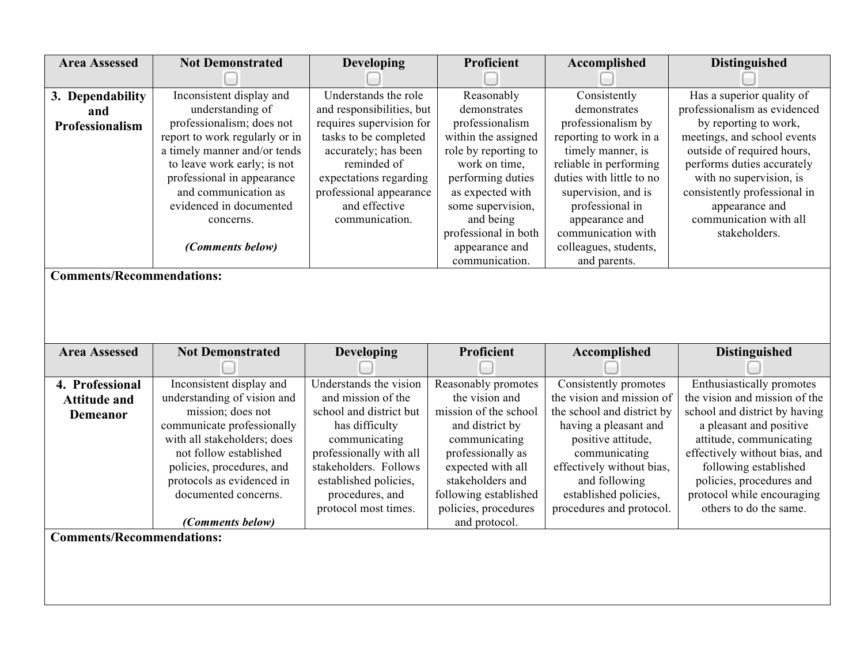| <b>Area Assessed</b>             | <b>Not Demonstrated</b>        | <b>Developing</b>         | Proficient                       | Accomplished                         | <b>Distinguished</b>                    |
|----------------------------------|--------------------------------|---------------------------|----------------------------------|--------------------------------------|-----------------------------------------|
|                                  |                                |                           |                                  |                                      |                                         |
| 3. Dependability                 | Inconsistent display and       | Understands the role      | Reasonably                       | Consistently                         | Has a superior quality of               |
| and                              | understanding of               | and responsibilities, but | demonstrates                     | demonstrates                         | professionalism as evidenced            |
| Professionalism                  | professionalism; does not      | requires supervision for  | professionalism                  | professionalism by                   | by reporting to work,                   |
|                                  | report to work regularly or in | tasks to be completed     | within the assigned              | reporting to work in a               | meetings, and school events             |
|                                  | a timely manner and/or tends   | accurately; has been      | role by reporting to             | timely manner, is                    | outside of required hours,              |
|                                  | to leave work early; is not    | reminded of               | work on time,                    | reliable in performing               | performs duties accurately              |
|                                  | professional in appearance     | expectations regarding    | performing duties                | duties with little to no             | with no supervision, is                 |
|                                  | and communication as           | professional appearance   | as expected with                 | supervision, and is                  | consistently professional in            |
|                                  | evidenced in documented        | and effective             | some supervision,                | professional in                      | appearance and                          |
|                                  | concerns.                      | communication.            | and being                        | appearance and<br>communication with | communication with all<br>stakeholders. |
|                                  |                                |                           | professional in both             | colleagues, students,                |                                         |
|                                  | (Comments below)               |                           | appearance and<br>communication. | and parents.                         |                                         |
| <b>Comments/Recommendations:</b> |                                |                           |                                  |                                      |                                         |
|                                  |                                |                           |                                  |                                      |                                         |
|                                  |                                |                           |                                  |                                      |                                         |
|                                  |                                |                           |                                  |                                      |                                         |
|                                  |                                |                           |                                  |                                      |                                         |
|                                  |                                |                           |                                  |                                      |                                         |
|                                  |                                |                           |                                  |                                      |                                         |
| <b>Area Assessed</b>             | <b>Not Demonstrated</b>        | Developing                | Proficient                       | Accomplished                         | <b>Distinguished</b>                    |
| 4. Professional                  | Inconsistent display and       | Understands the vision    | Reasonably promotes              | Consistently promotes                | Enthusiastically promotes               |
|                                  | understanding of vision and    | and mission of the        | the vision and                   | the vision and mission of            | the vision and mission of the           |
| <b>Attitude and</b>              | mission; does not              | school and district but   | mission of the school            | the school and district by           | school and district by having           |
| <b>Demeanor</b>                  | communicate professionally     | has difficulty            | and district by                  | having a pleasant and                | a pleasant and positive                 |
|                                  | with all stakeholders; does    | communicating             | communicating                    | positive attitude,                   | attitude, communicating                 |
|                                  | not follow established         | professionally with all   | professionally as                | communicating                        | effectively without bias, and           |
|                                  | policies, procedures, and      | stakeholders. Follows     | expected with all                | effectively without bias,            | following established                   |
|                                  | protocols as evidenced in      | established policies,     | stakeholders and                 | and following                        | policies, procedures and                |
|                                  | documented concerns.           | procedures, and           | following established            | established policies,                | protocol while encouraging              |
|                                  |                                | protocol most times.      | policies, procedures             | procedures and protocol.             | others to do the same.                  |
|                                  | (Comments below)               |                           | and protocol.                    |                                      |                                         |
| <b>Comments/Recommendations:</b> |                                |                           |                                  |                                      |                                         |
|                                  |                                |                           |                                  |                                      |                                         |
|                                  |                                |                           |                                  |                                      |                                         |
|                                  |                                |                           |                                  |                                      |                                         |
|                                  |                                |                           |                                  |                                      |                                         |